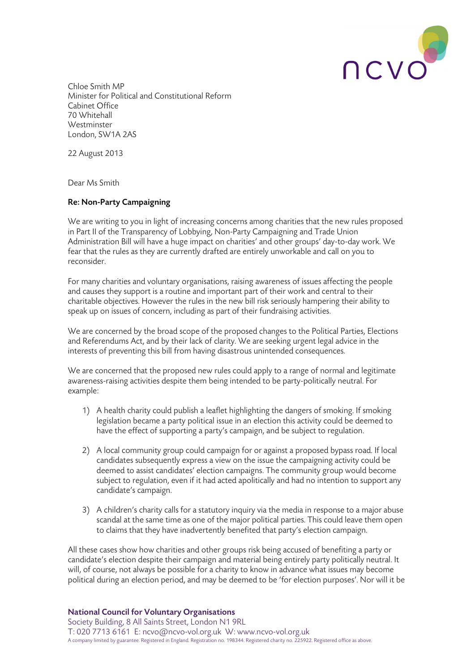

Chloe Smith MP Minister for Political and Constitutional Reform Cabinet Office 70 Whitehall Westminster London, SW1A 2AS

22 August 2013

Dear Ms Smith

# Re: Non-Party Campaigning

We are writing to you in light of increasing concerns among charities that the new rules proposed in Part II of the Transparency of Lobbying, Non-Party Campaigning and Trade Union Administration Bill will have a huge impact on charities' and other groups' day-to-day work. We fear that the rules as they are currently drafted are entirely unworkable and call on you to reconsider.

For many charities and voluntary organisations, raising awareness of issues affecting the people and causes they support is a routine and important part of their work and central to their charitable objectives. However the rules in the new bill risk seriously hampering their ability to speak up on issues of concern, including as part of their fundraising activities.

We are concerned by the broad scope of the proposed changes to the Political Parties, Elections and Referendums Act, and by their lack of clarity. We are seeking urgent legal advice in the interests of preventing this bill from having disastrous unintended consequences.

We are concerned that the proposed new rules could apply to a range of normal and legitimate awareness-raising activities despite them being intended to be party-politically neutral. For example:

- 1) A health charity could publish a leaflet highlighting the dangers of smoking. If smoking legislation became a party political issue in an election this activity could be deemed to have the effect of supporting a party's campaign, and be subject to regulation.
- 2) A local community group could campaign for or against a proposed bypass road. If local candidates subsequently express a view on the issue the campaigning activity could be deemed to assist candidates' election campaigns. The community group would become subject to regulation, even if it had acted apolitically and had no intention to support any candidate's campaign.
- 3) A children's charity calls for a statutory inquiry via the media in response to a major abuse scandal at the same time as one of the major political parties. This could leave them open to claims that they have inadvertently benefited that party's election campaign.

All these cases show how charities and other groups risk being accused of benefiting a party or candidate's election despite their campaign and material being entirely party politically neutral. It will, of course, not always be possible for a charity to know in advance what issues may become political during an election period, and may be deemed to be 'for election purposes'. Nor will it be

## National Council for Voluntary Organisations

Society Building, 8 All Saints Street, London N1 9RL T: 020 7713 6161 E: ncvo@ncvo-vol.org.uk W: www.ncvo-vol.org.uk A company limited by guarantee. Registered in England. Registration no. 198344. Registered charity no. 225922. Registered office as above.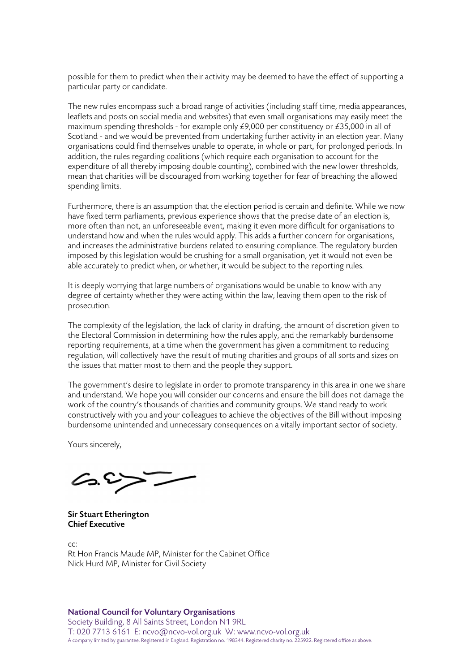possible for them to predict when their activity may be deemed to have the effect of supporting a particular party or candidate.

The new rules encompass such a broad range of activities (including staff time, media appearances, leaflets and posts on social media and websites) that even small organisations may easily meet the maximum spending thresholds - for example only £9,000 per constituency or £35,000 in all of Scotland - and we would be prevented from undertaking further activity in an election year. Many organisations could find themselves unable to operate, in whole or part, for prolonged periods. In addition, the rules regarding coalitions (which require each organisation to account for the expenditure of all thereby imposing double counting), combined with the new lower thresholds, mean that charities will be discouraged from working together for fear of breaching the allowed spending limits.

Furthermore, there is an assumption that the election period is certain and definite. While we now have fixed term parliaments, previous experience shows that the precise date of an election is, more often than not, an unforeseeable event, making it even more difficult for organisations to understand how and when the rules would apply. This adds a further concern for organisations, and increases the administrative burdens related to ensuring compliance. The regulatory burden imposed by this legislation would be crushing for a small organisation, yet it would not even be able accurately to predict when, or whether, it would be subject to the reporting rules.

It is deeply worrying that large numbers of organisations would be unable to know with any degree of certainty whether they were acting within the law, leaving them open to the risk of prosecution.

The complexity of the legislation, the lack of clarity in drafting, the amount of discretion given to the Electoral Commission in determining how the rules apply, and the remarkably burdensome reporting requirements, at a time when the government has given a commitment to reducing regulation, will collectively have the result of muting charities and groups of all sorts and sizes on the issues that matter most to them and the people they support.

The government's desire to legislate in order to promote transparency in this area in one we share and understand. We hope you will consider our concerns and ensure the bill does not damage the work of the country's thousands of charities and community groups. We stand ready to work constructively with you and your colleagues to achieve the objectives of the Bill without imposing burdensome unintended and unnecessary consequences on a vitally important sector of society.

Yours sincerely,

 $C_{2}$ .

Sir Stuart Etherington Chief Executive

cc: Rt Hon Francis Maude MP, Minister for the Cabinet Office Nick Hurd MP, Minister for Civil Society

#### National Council for Voluntary Organisations

Society Building, 8 All Saints Street, London N1 9RL T: 020 7713 6161 E: ncvo@ncvo-vol.org.uk W: www.ncvo-vol.org.uk A company limited by guarantee. Registered in England. Registration no. 198344. Registered charity no. 225922. Registered office as above.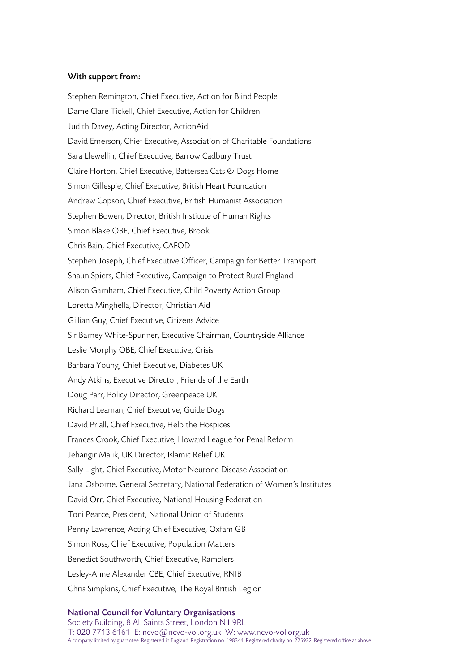## With support from:

Stephen Remington, Chief Executive, Action for Blind People Dame Clare Tickell, Chief Executive, Action for Children Judith Davey, Acting Director, ActionAid David Emerson, Chief Executive, Association of Charitable Foundations Sara Llewellin, Chief Executive, Barrow Cadbury Trust Claire Horton, Chief Executive, Battersea Cats & Dogs Home Simon Gillespie, Chief Executive, British Heart Foundation Andrew Copson, Chief Executive, British Humanist Association Stephen Bowen, Director, British Institute of Human Rights Simon Blake OBE, Chief Executive, Brook Chris Bain, Chief Executive, CAFOD Stephen Joseph, Chief Executive Officer, Campaign for Better Transport Shaun Spiers, Chief Executive, Campaign to Protect Rural England Alison Garnham, Chief Executive, Child Poverty Action Group Loretta Minghella, Director, Christian Aid Gillian Guy, Chief Executive, Citizens Advice Sir Barney White-Spunner, Executive Chairman, Countryside Alliance Leslie Morphy OBE, Chief Executive, Crisis Barbara Young, Chief Executive, Diabetes UK Andy Atkins, Executive Director, Friends of the Earth Doug Parr, Policy Director, Greenpeace UK Richard Leaman, Chief Executive, Guide Dogs David Priall, Chief Executive, Help the Hospices Frances Crook, Chief Executive, Howard League for Penal Reform Jehangir Malik, UK Director, Islamic Relief UK Sally Light, Chief Executive, Motor Neurone Disease Association Jana Osborne, General Secretary, National Federation of Women's Institutes David Orr, Chief Executive, National Housing Federation Toni Pearce, President, National Union of Students Penny Lawrence, Acting Chief Executive, Oxfam GB Simon Ross, Chief Executive, Population Matters Benedict Southworth, Chief Executive, Ramblers Lesley-Anne Alexander CBE, Chief Executive, RNIB Chris Simpkins, Chief Executive, The Royal British Legion

#### National Council for Voluntary Organisations Society Building, 8 All Saints Street, London N1 9RL T: 020 7713 6161 E: ncvo@ncvo-vol.org.uk W: www.ncvo-vol.org.uk A company limited by guarantee. Registered in England. Registration no. 198344. Registered charity no. 225922. Registered office as above.